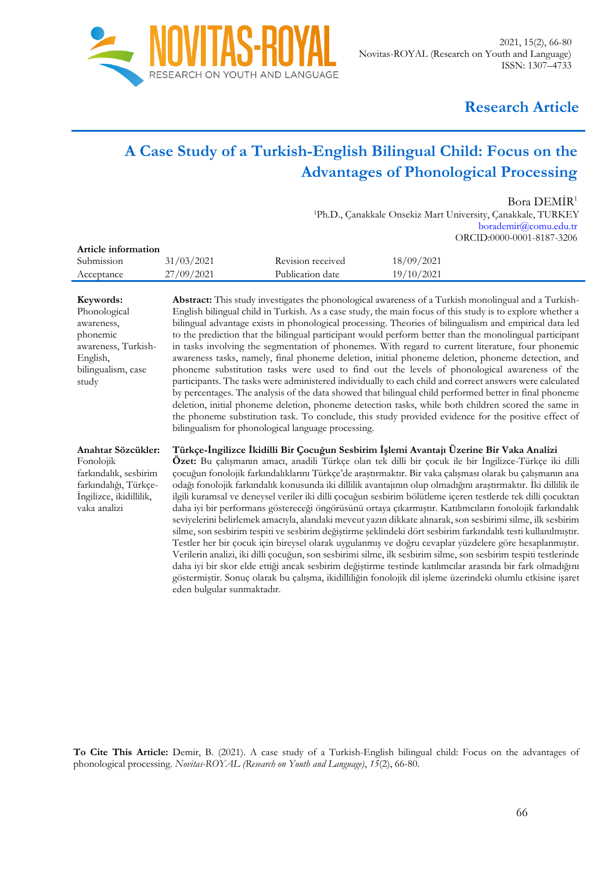

# **Research Article**

# **A Case Study of a Turkish-English Bilingual Child: Focus on the Advantages of Phonological Processing**

Bora DEMİR<sup>1</sup>

<sup>1</sup>Ph.D., Çanakkale Onsekiz Mart University, Çanakkale, TURKEY borademir@comu.edu.tr ORCID:0000-0001-8187-3206

| Article information |            |                   |            |  |
|---------------------|------------|-------------------|------------|--|
| Submission          | 31/03/2021 | Revision received | 18/09/2021 |  |
| Acceptance          | 27/09/2021 | Publication date  | 19/10/2021 |  |
|                     |            |                   |            |  |

**Abstract:** This study investigates the phonological awareness of a Turkish monolingual and a Turkish-English bilingual child in Turkish. As a case study, the main focus of this study is to explore whether a bilingual advantage exists in phonological processing. Theories of bilingualism and empirical data led to the prediction that the bilingual participant would perform better than the monolingual participant in tasks involving the segmentation of phonemes. With regard to current literature, four phonemic awareness tasks, namely, final phoneme deletion, initial phoneme deletion, phoneme detection, and phoneme substitution tasks were used to find out the levels of phonological awareness of the participants. The tasks were administered individually to each child and correct answers were calculated by percentages. The analysis of the data showed that bilingual child performed better in final phoneme deletion, initial phoneme deletion, phoneme detection tasks, while both children scored the same in the phoneme substitution task. To conclude, this study provided evidence for the positive effect of bilingualism for phonological language processing.

**Anahtar Sözcükler:** Fonolojik **Türkçe-İngilizce İkidilli Bir Çocuğun Sesbirim İşlemi Avantajı Üzerine Bir Vaka Analizi**

farkındalık, sesbirim farkındalığı, Türkçe-İngilizce, ikidillilik, vaka analizi

**Keywords:** Phonological awareness, phonemic

English,

study

awareness, Turkish-

bilingualism, case

**Özet:** Bu çalışmanın amacı, anadili Türkçe olan tek dilli bir çocuk ile bir İngilizce-Türkçe iki dilli çocuğun fonolojik farkındalıklarını Türkçe'de araştırmaktır. Bir vaka çalışması olarak bu çalışmanın ana odağı fonolojik farkındalık konusunda iki dillilik avantajının olup olmadığını araştırmaktır. İki dillilik ile ilgili kuramsal ve deneysel veriler iki dilli çocuğun sesbirim bölütleme içeren testlerde tek dilli çocuktan daha iyi bir performans göstereceği öngörüsünü ortaya çıkarmıştır. Katılımcıların fonolojik farkındalık seviyelerini belirlemek amacıyla, alandaki mevcut yazın dikkate alınarak, son sesbirimi silme, ilk sesbirim silme, son sesbirim tespiti ve sesbirim değiştirme şeklindeki dört sesbirim farkındalık testi kullanılmıştır. Testler her bir çocuk için bireysel olarak uygulanmış ve doğru cevaplar yüzdelere göre hesaplanmıştır. Verilerin analizi, iki dilli çocuğun, son sesbirimi silme, ilk sesbirim silme, son sesbirim tespiti testlerinde daha iyi bir skor elde ettiği ancak sesbirim değiştirme testinde katılımcılar arasında bir fark olmadığını göstermiştir. Sonuç olarak bu çalışma, ikidilliliğin fonolojik dil işleme üzerindeki olumlu etkisine işaret eden bulgular sunmaktadır.

**To Cite This Article:** Demir, B. (2021). A case study of a Turkish-English bilingual child: Focus on the advantages of phonological processing. *Novitas-ROYAL (Research on Youth and Language)*, *15*(2), 66-80.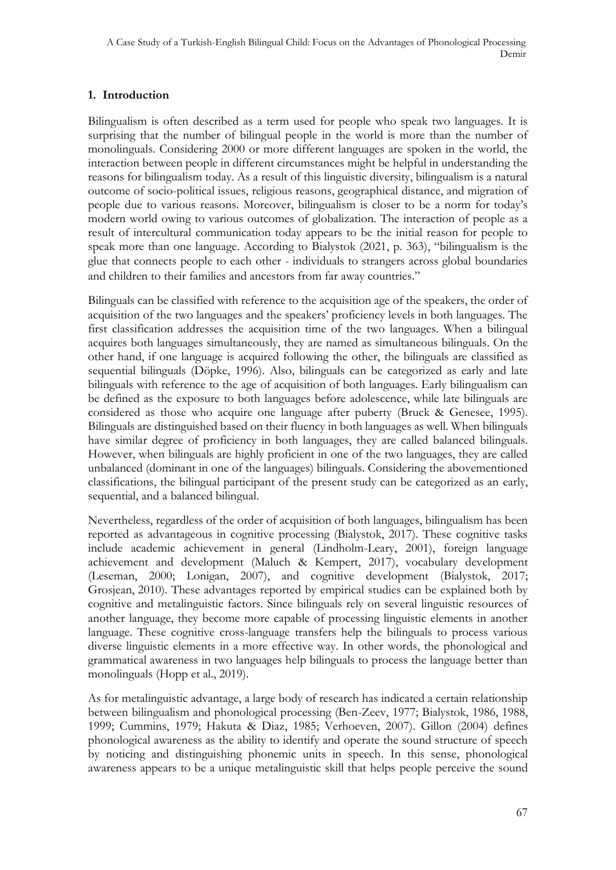# **1. Introduction**

Bilingualism is often described as a term used for people who speak two languages. It is surprising that the number of bilingual people in the world is more than the number of monolinguals. Considering 2000 or more different languages are spoken in the world, the interaction between people in different circumstances might be helpful in understanding the reasons for bilingualism today. As a result of this linguistic diversity, bilingualism is a natural outcome of socio-political issues, religious reasons, geographical distance, and migration of people due to various reasons. Moreover, bilingualism is closer to be a norm for today's modern world owing to various outcomes of globalization. The interaction of people as a result of intercultural communication today appears to be the initial reason for people to speak more than one language. According to Bialystok (2021, p. 363), "bilingualism is the glue that connects people to each other - individuals to strangers across global boundaries and children to their families and ancestors from far away countries."

Bilinguals can be classified with reference to the acquisition age of the speakers, the order of acquisition of the two languages and the speakers' proficiency levels in both languages. The first classification addresses the acquisition time of the two languages. When a bilingual acquires both languages simultaneously, they are named as simultaneous bilinguals. On the other hand, if one language is acquired following the other, the bilinguals are classified as sequential bilinguals (Döpke, 1996). Also, bilinguals can be categorized as early and late bilinguals with reference to the age of acquisition of both languages. Early bilingualism can be defined as the exposure to both languages before adolescence, while late bilinguals are considered as those who acquire one language after puberty (Bruck & Genesee, 1995). Bilinguals are distinguished based on their fluency in both languages as well. When bilinguals have similar degree of proficiency in both languages, they are called balanced bilinguals. However, when bilinguals are highly proficient in one of the two languages, they are called unbalanced (dominant in one of the languages) bilinguals. Considering the abovementioned classifications, the bilingual participant of the present study can be categorized as an early, sequential, and a balanced bilingual.

Nevertheless, regardless of the order of acquisition of both languages, bilingualism has been reported as advantageous in cognitive processing (Bialystok, 2017). These cognitive tasks include academic achievement in general (Lindholm-Leary, 2001), foreign language achievement and development (Maluch & Kempert, 2017), vocabulary development (Leseman, 2000; Lonigan, 2007), and cognitive development (Bialystok, 2017; Grosjean, 2010). These advantages reported by empirical studies can be explained both by cognitive and metalinguistic factors. Since bilinguals rely on several linguistic resources of another language, they become more capable of processing linguistic elements in another language. These cognitive cross-language transfers help the bilinguals to process various diverse linguistic elements in a more effective way. In other words, the phonological and grammatical awareness in two languages help bilinguals to process the language better than monolinguals (Hopp et al., 2019).

As for metalinguistic advantage, a large body of research has indicated a certain relationship between bilingualism and phonological processing (Ben-Zeev, 1977; Bialystok, 1986, 1988, 1999; Cummins, 1979; Hakuta & Diaz, 1985; Verhoeven, 2007). Gillon (2004) defines phonological awareness as the ability to identify and operate the sound structure of speech by noticing and distinguishing phonemic units in speech. In this sense, phonological awareness appears to be a unique metalinguistic skill that helps people perceive the sound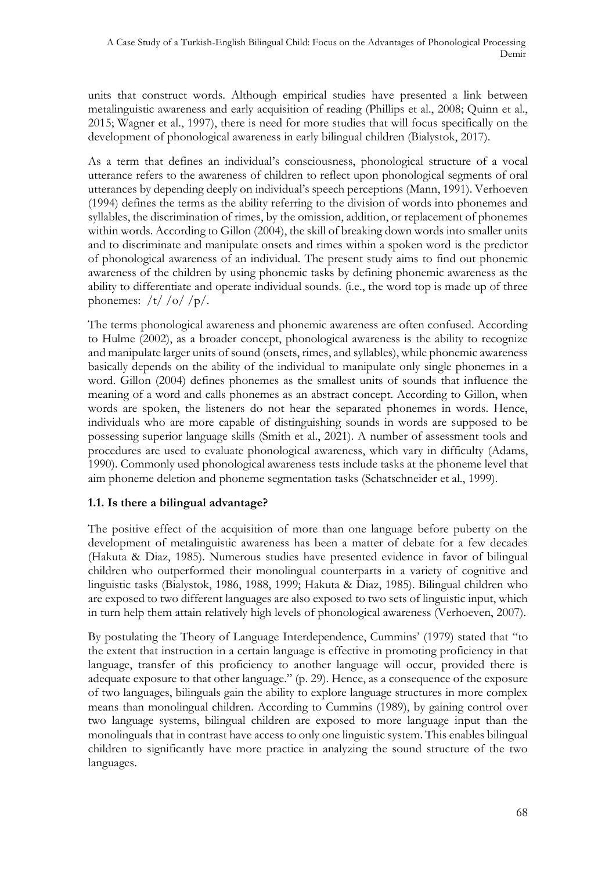units that construct words. Although empirical studies have presented a link between metalinguistic awareness and early acquisition of reading (Phillips et al., 2008; Quinn et al., 2015; Wagner et al., 1997), there is need for more studies that will focus specifically on the development of phonological awareness in early bilingual children (Bialystok, 2017).

As a term that defines an individual's consciousness, phonological structure of a vocal utterance refers to the awareness of children to reflect upon phonological segments of oral utterances by depending deeply on individual's speech perceptions (Mann, 1991). Verhoeven (1994) defines the terms as the ability referring to the division of words into phonemes and syllables, the discrimination of rimes, by the omission, addition, or replacement of phonemes within words. According to Gillon (2004), the skill of breaking down words into smaller units and to discriminate and manipulate onsets and rimes within a spoken word is the predictor of phonological awareness of an individual. The present study aims to find out phonemic awareness of the children by using phonemic tasks by defining phonemic awareness as the ability to differentiate and operate individual sounds. (i.e., the word top is made up of three phonemes:  $/t/$  /o/ /p/.

The terms phonological awareness and phonemic awareness are often confused. According to Hulme (2002), as a broader concept, phonological awareness is the ability to recognize and manipulate larger units of sound (onsets, rimes, and syllables), while phonemic awareness basically depends on the ability of the individual to manipulate only single phonemes in a word. Gillon (2004) defines phonemes as the smallest units of sounds that influence the meaning of a word and calls phonemes as an abstract concept. According to Gillon, when words are spoken, the listeners do not hear the separated phonemes in words. Hence, individuals who are more capable of distinguishing sounds in words are supposed to be possessing superior language skills (Smith et al., 2021). A number of assessment tools and procedures are used to evaluate phonological awareness, which vary in difficulty (Adams, 1990). Commonly used phonological awareness tests include tasks at the phoneme level that aim phoneme deletion and phoneme segmentation tasks (Schatschneider et al., 1999).

# **1.1. Is there a bilingual advantage?**

The positive effect of the acquisition of more than one language before puberty on the development of metalinguistic awareness has been a matter of debate for a few decades (Hakuta & Diaz, 1985). Numerous studies have presented evidence in favor of bilingual children who outperformed their monolingual counterparts in a variety of cognitive and linguistic tasks (Bialystok, 1986, 1988, 1999; Hakuta & Diaz, 1985). Bilingual children who are exposed to two different languages are also exposed to two sets of linguistic input, which in turn help them attain relatively high levels of phonological awareness (Verhoeven, 2007).

By postulating the Theory of Language Interdependence, Cummins' (1979) stated that "to the extent that instruction in a certain language is effective in promoting proficiency in that language, transfer of this proficiency to another language will occur, provided there is adequate exposure to that other language." (p. 29). Hence, as a consequence of the exposure of two languages, bilinguals gain the ability to explore language structures in more complex means than monolingual children. According to Cummins (1989), by gaining control over two language systems, bilingual children are exposed to more language input than the monolinguals that in contrast have access to only one linguistic system. This enables bilingual children to significantly have more practice in analyzing the sound structure of the two languages.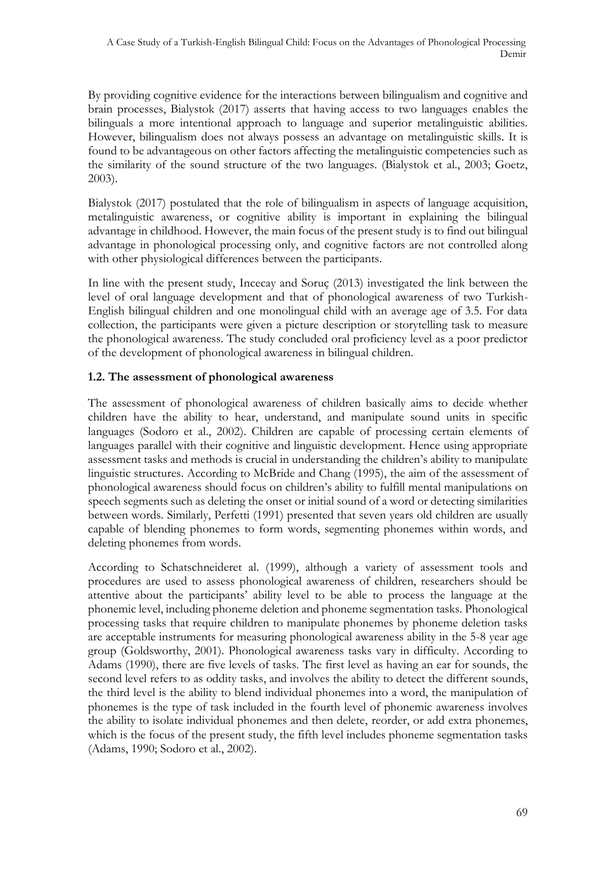By providing cognitive evidence for the interactions between bilingualism and cognitive and brain processes, Bialystok (2017) asserts that having access to two languages enables the bilinguals a more intentional approach to language and superior metalinguistic abilities. However, bilingualism does not always possess an advantage on metalinguistic skills. It is found to be advantageous on other factors affecting the metalinguistic competencies such as the similarity of the sound structure of the two languages. (Bialystok et al., 2003; Goetz, 2003).

Bialystok (2017) postulated that the role of bilingualism in aspects of language acquisition, metalinguistic awareness, or cognitive ability is important in explaining the bilingual advantage in childhood. However, the main focus of the present study is to find out bilingual advantage in phonological processing only, and cognitive factors are not controlled along with other physiological differences between the participants.

In line with the present study, Incecay and Soruç (2013) investigated the link between the level of oral language development and that of phonological awareness of two Turkish-English bilingual children and one monolingual child with an average age of 3.5. For data collection, the participants were given a picture description or storytelling task to measure the phonological awareness. The study concluded oral proficiency level as a poor predictor of the development of phonological awareness in bilingual children.

# **1.2. The assessment of phonological awareness**

The assessment of phonological awareness of children basically aims to decide whether children have the ability to hear, understand, and manipulate sound units in specific languages (Sodoro et al., 2002). Children are capable of processing certain elements of languages parallel with their cognitive and linguistic development. Hence using appropriate assessment tasks and methods is crucial in understanding the children's ability to manipulate linguistic structures. According to McBride and Chang (1995), the aim of the assessment of phonological awareness should focus on children's ability to fulfill mental manipulations on speech segments such as deleting the onset or initial sound of a word or detecting similarities between words. Similarly, Perfetti (1991) presented that seven years old children are usually capable of blending phonemes to form words, segmenting phonemes within words, and deleting phonemes from words.

According to Schatschneideret al. (1999), although a variety of assessment tools and procedures are used to assess phonological awareness of children, researchers should be attentive about the participants' ability level to be able to process the language at the phonemic level, including phoneme deletion and phoneme segmentation tasks. Phonological processing tasks that require children to manipulate phonemes by phoneme deletion tasks are acceptable instruments for measuring phonological awareness ability in the 5-8 year age group (Goldsworthy, 2001). Phonological awareness tasks vary in difficulty. According to Adams (1990), there are five levels of tasks. The first level as having an ear for sounds, the second level refers to as oddity tasks, and involves the ability to detect the different sounds, the third level is the ability to blend individual phonemes into a word, the manipulation of phonemes is the type of task included in the fourth level of phonemic awareness involves the ability to isolate individual phonemes and then delete, reorder, or add extra phonemes, which is the focus of the present study, the fifth level includes phoneme segmentation tasks (Adams, 1990; Sodoro et al., 2002).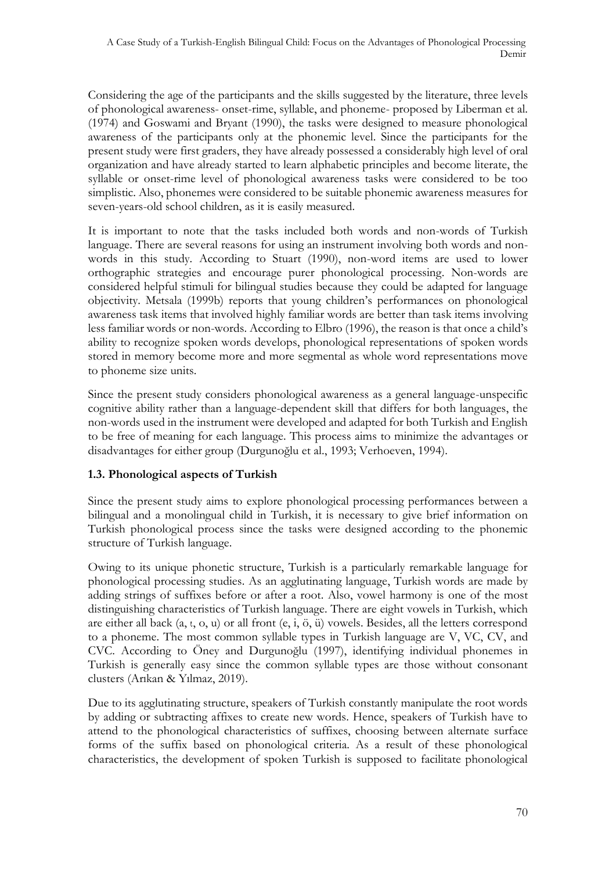Considering the age of the participants and the skills suggested by the literature, three levels of phonological awareness- onset-rime, syllable, and phoneme- proposed by Liberman et al. (1974) and Goswami and Bryant (1990), the tasks were designed to measure phonological awareness of the participants only at the phonemic level. Since the participants for the present study were first graders, they have already possessed a considerably high level of oral organization and have already started to learn alphabetic principles and become literate, the syllable or onset-rime level of phonological awareness tasks were considered to be too simplistic. Also, phonemes were considered to be suitable phonemic awareness measures for seven-years-old school children, as it is easily measured.

It is important to note that the tasks included both words and non-words of Turkish language. There are several reasons for using an instrument involving both words and nonwords in this study. According to Stuart (1990), non-word items are used to lower orthographic strategies and encourage purer phonological processing. Non-words are considered helpful stimuli for bilingual studies because they could be adapted for language objectivity. Metsala (1999b) reports that young children's performances on phonological awareness task items that involved highly familiar words are better than task items involving less familiar words or non-words. According to Elbro (1996), the reason is that once a child's ability to recognize spoken words develops, phonological representations of spoken words stored in memory become more and more segmental as whole word representations move to phoneme size units.

Since the present study considers phonological awareness as a general language-unspecific cognitive ability rather than a language-dependent skill that differs for both languages, the non-words used in the instrument were developed and adapted for both Turkish and English to be free of meaning for each language. This process aims to minimize the advantages or disadvantages for either group (Durgunoğlu et al., 1993; Verhoeven, 1994).

# **1.3. Phonological aspects of Turkish**

Since the present study aims to explore phonological processing performances between a bilingual and a monolingual child in Turkish, it is necessary to give brief information on Turkish phonological process since the tasks were designed according to the phonemic structure of Turkish language.

Owing to its unique phonetic structure, Turkish is a particularly remarkable language for phonological processing studies. As an agglutinating language, Turkish words are made by adding strings of suffixes before or after a root. Also, vowel harmony is one of the most distinguishing characteristics of Turkish language. There are eight vowels in Turkish, which are either all back  $(a, t, o, u)$  or all front  $(e, i, \ddot{o}, \ddot{u})$  vowels. Besides, all the letters correspond to a phoneme. The most common syllable types in Turkish language are V, VC, CV, and CVC. According to Öney and Durgunoğlu (1997), identifying individual phonemes in Turkish is generally easy since the common syllable types are those without consonant clusters (Arıkan & Yılmaz, 2019).

Due to its agglutinating structure, speakers of Turkish constantly manipulate the root words by adding or subtracting affixes to create new words. Hence, speakers of Turkish have to attend to the phonological characteristics of suffixes, choosing between alternate surface forms of the suffix based on phonological criteria. As a result of these phonological characteristics, the development of spoken Turkish is supposed to facilitate phonological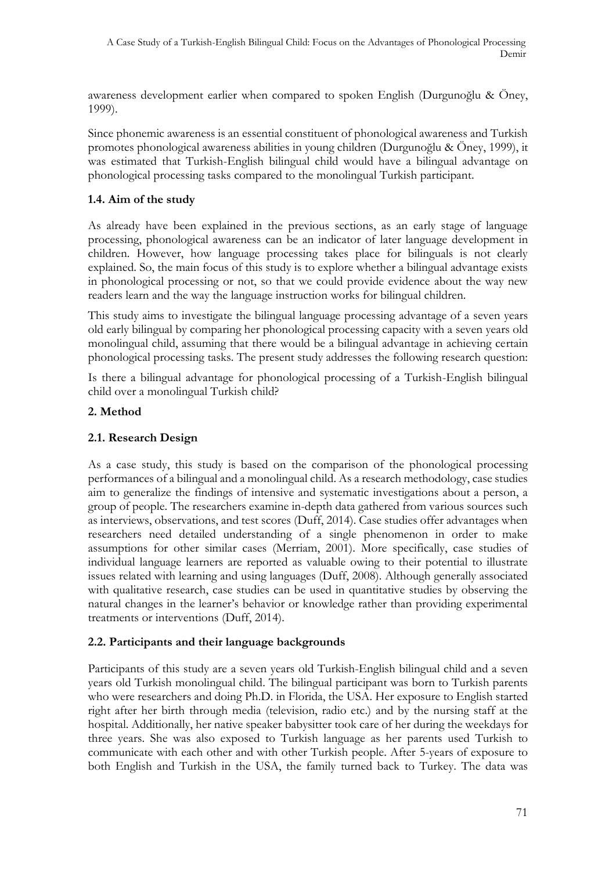awareness development earlier when compared to spoken English (Durgunoğlu & Öney, 1999).

Since phonemic awareness is an essential constituent of phonological awareness and Turkish promotes phonological awareness abilities in young children (Durgunoğlu & Öney, 1999), it was estimated that Turkish-English bilingual child would have a bilingual advantage on phonological processing tasks compared to the monolingual Turkish participant.

# **1.4. Aim of the study**

As already have been explained in the previous sections, as an early stage of language processing, phonological awareness can be an indicator of later language development in children. However, how language processing takes place for bilinguals is not clearly explained. So, the main focus of this study is to explore whether a bilingual advantage exists in phonological processing or not, so that we could provide evidence about the way new readers learn and the way the language instruction works for bilingual children.

This study aims to investigate the bilingual language processing advantage of a seven years old early bilingual by comparing her phonological processing capacity with a seven years old monolingual child, assuming that there would be a bilingual advantage in achieving certain phonological processing tasks. The present study addresses the following research question:

Is there a bilingual advantage for phonological processing of a Turkish-English bilingual child over a monolingual Turkish child?

# **2. Method**

# **2.1. Research Design**

As a case study, this study is based on the comparison of the phonological processing performances of a bilingual and a monolingual child. As a research methodology, case studies aim to generalize the findings of intensive and systematic investigations about a person, a group of people. The researchers examine in-depth data gathered from various sources such as interviews, observations, and test scores (Duff, 2014). Case studies offer advantages when researchers need detailed understanding of a single phenomenon in order to make assumptions for other similar cases (Merriam, 2001). More specifically, case studies of individual language learners are reported as valuable owing to their potential to illustrate issues related with learning and using languages (Duff, 2008). Although generally associated with qualitative research, case studies can be used in quantitative studies by observing the natural changes in the learner's behavior or knowledge rather than providing experimental treatments or interventions (Duff, 2014).

#### **2.2. Participants and their language backgrounds**

Participants of this study are a seven years old Turkish-English bilingual child and a seven years old Turkish monolingual child. The bilingual participant was born to Turkish parents who were researchers and doing Ph.D. in Florida, the USA. Her exposure to English started right after her birth through media (television, radio etc.) and by the nursing staff at the hospital. Additionally, her native speaker babysitter took care of her during the weekdays for three years. She was also exposed to Turkish language as her parents used Turkish to communicate with each other and with other Turkish people. After 5-years of exposure to both English and Turkish in the USA, the family turned back to Turkey. The data was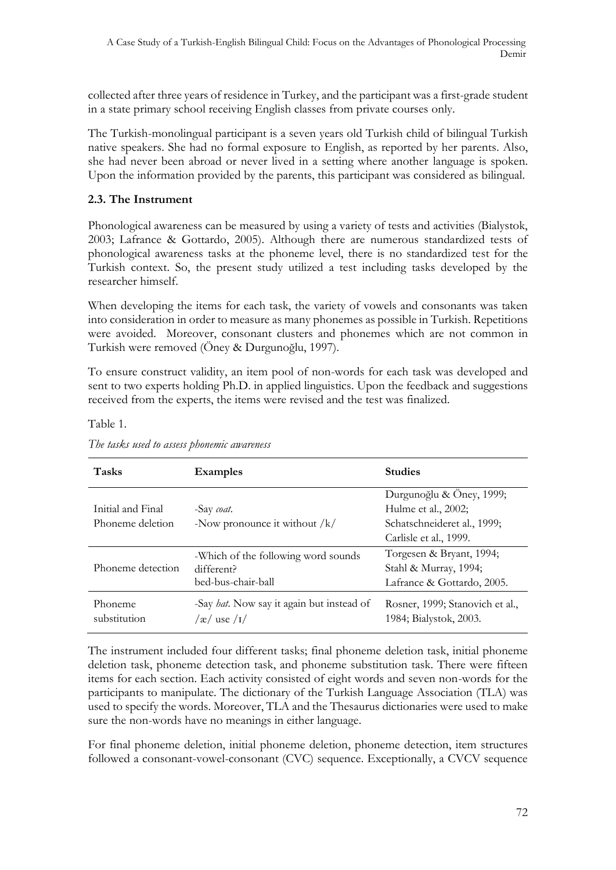collected after three years of residence in Turkey, and the participant was a first-grade student in a state primary school receiving English classes from private courses only.

The Turkish-monolingual participant is a seven years old Turkish child of bilingual Turkish native speakers. She had no formal exposure to English, as reported by her parents. Also, she had never been abroad or never lived in a setting where another language is spoken. Upon the information provided by the parents, this participant was considered as bilingual.

# **2.3. The Instrument**

Phonological awareness can be measured by using a variety of tests and activities (Bialystok, 2003; Lafrance & Gottardo, 2005). Although there are numerous standardized tests of phonological awareness tasks at the phoneme level, there is no standardized test for the Turkish context. So, the present study utilized a test including tasks developed by the researcher himself.

When developing the items for each task, the variety of vowels and consonants was taken into consideration in order to measure as many phonemes as possible in Turkish. Repetitions were avoided. Moreover, consonant clusters and phonemes which are not common in Turkish were removed (Öney & Durgunoğlu, 1997).

To ensure construct validity, an item pool of non-words for each task was developed and sent to two experts holding Ph.D. in applied linguistics. Upon the feedback and suggestions received from the experts, the items were revised and the test was finalized.

| <b>Tasks</b>            | <b>Examples</b>                                                              | <b>Studies</b>                                                                  |
|-------------------------|------------------------------------------------------------------------------|---------------------------------------------------------------------------------|
| Initial and Final       | -Say coat.                                                                   | Durgunoğlu & Öney, 1999;<br>Hulme et al., 2002;                                 |
| Phoneme deletion        | -Now pronounce it without $/k/$                                              | Schatschneideret al., 1999;<br>Carlisle et al., 1999.                           |
| Phoneme detection       | -Which of the following word sounds<br>different?<br>bed-bus-chair-ball      | Torgesen & Bryant, 1994;<br>Stahl & Murray, 1994;<br>Lafrance & Gottardo, 2005. |
| Phoneme<br>substitution | -Say <i>hat</i> . Now say it again but instead of<br>$\alpha$ use $\sqrt{I}$ | Rosner, 1999; Stanovich et al.,<br>1984; Bialystok, 2003.                       |

Table 1.

The instrument included four different tasks; final phoneme deletion task, initial phoneme deletion task, phoneme detection task, and phoneme substitution task. There were fifteen items for each section. Each activity consisted of eight words and seven non-words for the participants to manipulate. The dictionary of the Turkish Language Association (TLA) was used to specify the words. Moreover, TLA and the Thesaurus dictionaries were used to make sure the non-words have no meanings in either language.

For final phoneme deletion, initial phoneme deletion, phoneme detection, item structures followed a consonant-vowel-consonant (CVC) sequence. Exceptionally, a CVCV sequence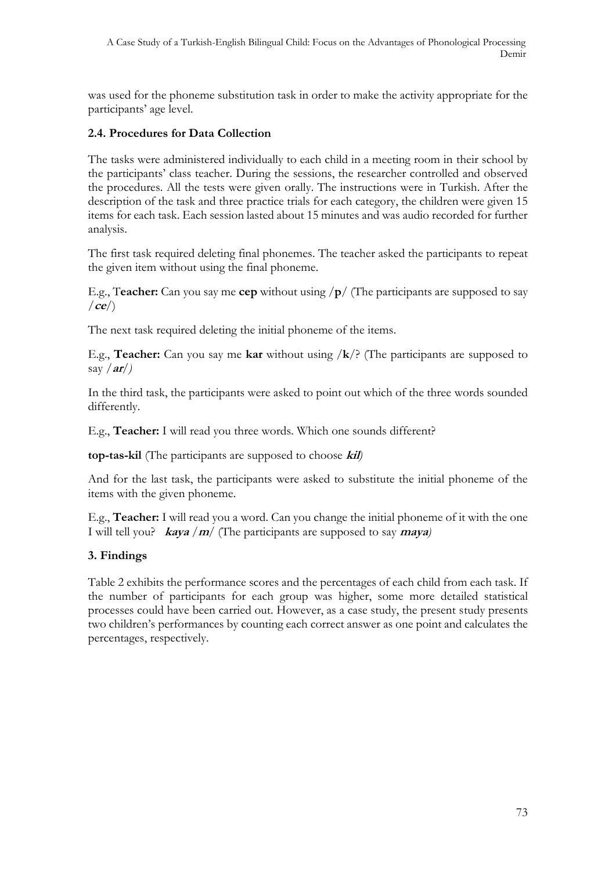was used for the phoneme substitution task in order to make the activity appropriate for the participants' age level.

# **2.4. Procedures for Data Collection**

The tasks were administered individually to each child in a meeting room in their school by the participants' class teacher. During the sessions, the researcher controlled and observed the procedures. All the tests were given orally. The instructions were in Turkish. After the description of the task and three practice trials for each category, the children were given 15 items for each task. Each session lasted about 15 minutes and was audio recorded for further analysis.

The first task required deleting final phonemes. The teacher asked the participants to repeat the given item without using the final phoneme.

E.g., T**eacher:** Can you say me **cep** without using /**p**/ (The participants are supposed to say /**ce**/)

The next task required deleting the initial phoneme of the items.

E.g., **Teacher:** Can you say me **kar** without using /**k**/? (The participants are supposed to say */***ar***/)*

In the third task, the participants were asked to point out which of the three words sounded differently.

E.g., **Teacher:** I will read you three words. Which one sounds different?

**top-tas-kil** (The participants are supposed to choose **kil***)*

And for the last task, the participants were asked to substitute the initial phoneme of the items with the given phoneme.

E.g., **Teacher:** I will read you a word. Can you change the initial phoneme of it with the one I will tell you? **kaya** /**m**/ (The participants are supposed to say **maya***)*

#### **3. Findings**

Table 2 exhibits the performance scores and the percentages of each child from each task. If the number of participants for each group was higher, some more detailed statistical processes could have been carried out. However, as a case study, the present study presents two children's performances by counting each correct answer as one point and calculates the percentages, respectively.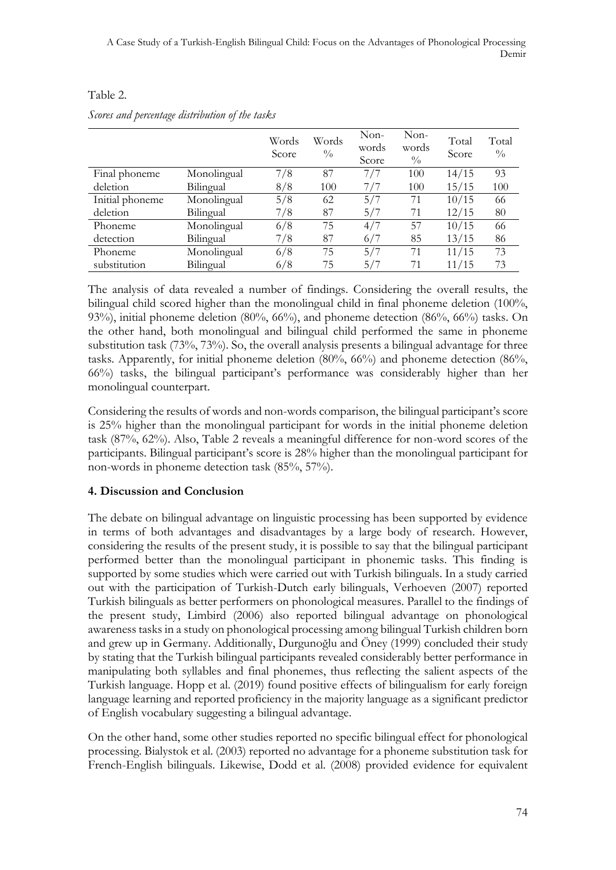|                 |             | Words<br>Score | Words<br>$\frac{0}{0}$ | Non-<br>words<br>Score | Non-<br>words<br>$\frac{0}{0}$ | Total<br>Score | Total<br>$\frac{0}{0}$ |
|-----------------|-------------|----------------|------------------------|------------------------|--------------------------------|----------------|------------------------|
| Final phoneme   | Monolingual | 7/8            | 87                     | 7/7                    | 100                            | 14/15          | 93                     |
| deletion        | Bilingual   | 8/8            | 100                    | 7/7                    | 100                            | 15/15          | 100                    |
| Initial phoneme | Monolingual | 5/8            | 62                     | 5/7                    | 71                             | 10/15          | 66                     |
| deletion        | Bilingual   | 7/8            | 87                     | 5/7                    | 71                             | 12/15          | 80                     |
| Phoneme         | Monolingual | 6/8            | 75                     | 4/7                    | 57                             | 10/15          | 66                     |
| detection       | Bilingual   | 7/8            | 87                     | 6/7                    | 85                             | 13/15          | 86                     |
| Phoneme         | Monolingual | 6/8            | 75                     | 5/7                    | 71                             | 11/15          | 73                     |
| substitution    | Bilingual   | 6/8            | 75                     | 5/7                    | 71                             | 11/15          | 73                     |

#### Table 2.

| Scores and percentage distribution of the tasks |  |  |  |
|-------------------------------------------------|--|--|--|
|-------------------------------------------------|--|--|--|

The analysis of data revealed a number of findings. Considering the overall results, the bilingual child scored higher than the monolingual child in final phoneme deletion (100%, 93%), initial phoneme deletion (80%, 66%), and phoneme detection (86%, 66%) tasks. On the other hand, both monolingual and bilingual child performed the same in phoneme substitution task (73%, 73%). So, the overall analysis presents a bilingual advantage for three tasks. Apparently, for initial phoneme deletion (80%, 66%) and phoneme detection (86%, 66%) tasks, the bilingual participant's performance was considerably higher than her monolingual counterpart.

Considering the results of words and non-words comparison, the bilingual participant's score is 25% higher than the monolingual participant for words in the initial phoneme deletion task (87%, 62%). Also, Table 2 reveals a meaningful difference for non-word scores of the participants. Bilingual participant's score is 28% higher than the monolingual participant for non-words in phoneme detection task (85%, 57%).

# **4. Discussion and Conclusion**

The debate on bilingual advantage on linguistic processing has been supported by evidence in terms of both advantages and disadvantages by a large body of research. However, considering the results of the present study, it is possible to say that the bilingual participant performed better than the monolingual participant in phonemic tasks. This finding is supported by some studies which were carried out with Turkish bilinguals. In a study carried out with the participation of Turkish-Dutch early bilinguals, Verhoeven (2007) reported Turkish bilinguals as better performers on phonological measures. Parallel to the findings of the present study, Limbird (2006) also reported bilingual advantage on phonological awareness tasks in a study on phonological processing among bilingual Turkish children born and grew up in Germany. Additionally, Durgunoğlu and Öney (1999) concluded their study by stating that the Turkish bilingual participants revealed considerably better performance in manipulating both syllables and final phonemes, thus reflecting the salient aspects of the Turkish language. Hopp et al. (2019) found positive effects of bilingualism for early foreign language learning and reported proficiency in the majority language as a significant predictor of English vocabulary suggesting a bilingual advantage.

On the other hand, some other studies reported no specific bilingual effect for phonological processing. Bialystok et al. (2003) reported no advantage for a phoneme substitution task for French-English bilinguals. Likewise, Dodd et al. (2008) provided evidence for equivalent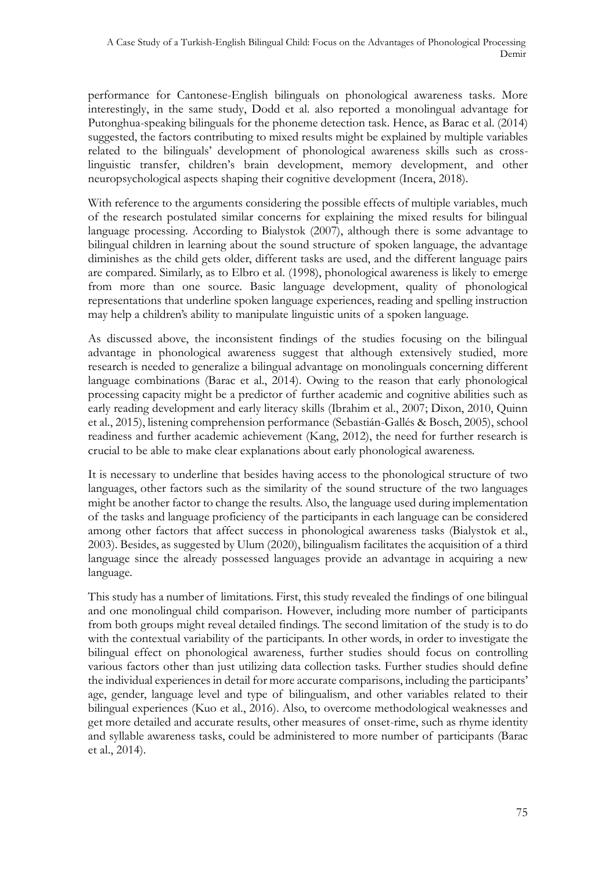performance for Cantonese-English bilinguals on phonological awareness tasks. More interestingly, in the same study, Dodd et al. also reported a monolingual advantage for Putonghua-speaking bilinguals for the phoneme detection task. Hence, as Barac et al. (2014) suggested, the factors contributing to mixed results might be explained by multiple variables related to the bilinguals' development of phonological awareness skills such as crosslinguistic transfer, children's brain development, memory development, and other neuropsychological aspects shaping their cognitive development (Incera, 2018).

With reference to the arguments considering the possible effects of multiple variables, much of the research postulated similar concerns for explaining the mixed results for bilingual language processing. According to Bialystok (2007), although there is some advantage to bilingual children in learning about the sound structure of spoken language, the advantage diminishes as the child gets older, different tasks are used, and the different language pairs are compared. Similarly, as to Elbro et al. (1998), phonological awareness is likely to emerge from more than one source. Basic language development, quality of phonological representations that underline spoken language experiences, reading and spelling instruction may help a children's ability to manipulate linguistic units of a spoken language.

As discussed above, the inconsistent findings of the studies focusing on the bilingual advantage in phonological awareness suggest that although extensively studied, more research is needed to generalize a bilingual advantage on monolinguals concerning different language combinations (Barac et al., 2014). Owing to the reason that early phonological processing capacity might be a predictor of further academic and cognitive abilities such as early reading development and early literacy skills (Ibrahim et al., 2007; Dixon, 2010, Quinn et al., 2015), listening comprehension performance (Sebastián-Gallés & Bosch, 2005), school readiness and further academic achievement (Kang, 2012), the need for further research is crucial to be able to make clear explanations about early phonological awareness.

It is necessary to underline that besides having access to the phonological structure of two languages, other factors such as the similarity of the sound structure of the two languages might be another factor to change the results. Also, the language used during implementation of the tasks and language proficiency of the participants in each language can be considered among other factors that affect success in phonological awareness tasks (Bialystok et al., 2003). Besides, as suggested by Ulum (2020), bilingualism facilitates the acquisition of a third language since the already possessed languages provide an advantage in acquiring a new language.

This study has a number of limitations. First, this study revealed the findings of one bilingual and one monolingual child comparison. However, including more number of participants from both groups might reveal detailed findings. The second limitation of the study is to do with the contextual variability of the participants. In other words, in order to investigate the bilingual effect on phonological awareness, further studies should focus on controlling various factors other than just utilizing data collection tasks. Further studies should define the individual experiences in detail for more accurate comparisons, including the participants' age, gender, language level and type of bilingualism, and other variables related to their bilingual experiences (Kuo et al., 2016). Also, to overcome methodological weaknesses and get more detailed and accurate results, other measures of onset-rime, such as rhyme identity and syllable awareness tasks, could be administered to more number of participants (Barac et al., 2014).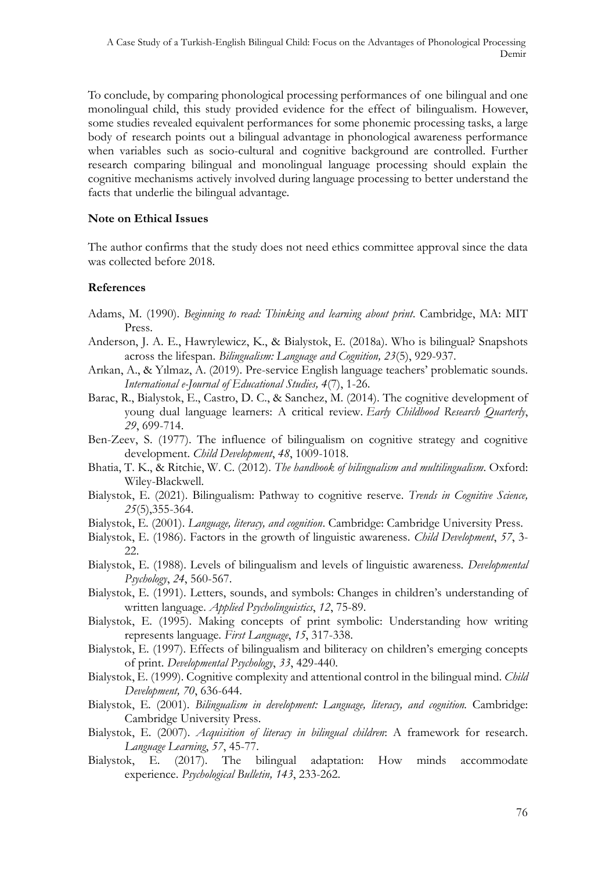To conclude, by comparing phonological processing performances of one bilingual and one monolingual child, this study provided evidence for the effect of bilingualism. However, some studies revealed equivalent performances for some phonemic processing tasks, a large body of research points out a bilingual advantage in phonological awareness performance when variables such as socio-cultural and cognitive background are controlled. Further research comparing bilingual and monolingual language processing should explain the cognitive mechanisms actively involved during language processing to better understand the facts that underlie the bilingual advantage.

#### **Note on Ethical Issues**

The author confirms that the study does not need ethics committee approval since the data was collected before 2018.

#### **References**

- Adams, M. (1990). *Beginning to read: Thinking and learning about print*. Cambridge, MA: MIT Press.
- Anderson, J. A. E., Hawrylewicz, K., & Bialystok, E. (2018a). Who is bilingual? Snapshots across the lifespan. *Bilingualism: Language and Cognition, 23*(5), 929-937.
- Arıkan, A., & Yılmaz, A. (2019). Pre-service English language teachers' problematic sounds. *International e-Journal of Educational Studies, 4*(7), 1-26.
- Barac, R., Bialystok, E., Castro, D. C., & Sanchez, M. (2014). The cognitive development of young dual language learners: A critical review. *Early Childhood Research Quarterly*, *29*, 699-714.
- Ben-Zeev, S. (1977). The influence of bilingualism on cognitive strategy and cognitive development. *Child Development*, *48*, 1009-1018.
- Bhatia, T. K., & Ritchie, W. C. (2012). *The handbook of bilingualism and multilingualism*. Oxford: Wiley-Blackwell.
- Bialystok, E. (2021). Bilingualism: Pathway to cognitive reserve. *Trends in Cognitive Science, 25*(5),355-364.
- Bialystok, E. (2001). *Language, literacy, and cognition*. Cambridge: Cambridge University Press.
- Bialystok, E. (1986). Factors in the growth of linguistic awareness. *Child Development*, *57*, 3- 22.
- Bialystok, E. (1988). Levels of bilingualism and levels of linguistic awareness. *Developmental Psychology*, *24*, 560-567.
- Bialystok, E. (1991). Letters, sounds, and symbols: Changes in children's understanding of written language. *Applied Psycholinguistics*, *12*, 75-89.
- Bialystok, E. (1995). Making concepts of print symbolic: Understanding how writing represents language. *First Language*, *15*, 317-338.
- Bialystok, E. (1997). Effects of bilingualism and biliteracy on children's emerging concepts of print. *Developmental Psychology*, *33*, 429-440.
- Bialystok, E. (1999). Cognitive complexity and attentional control in the bilingual mind. *Child Development, 70*, 636-644.
- Bialystok, E. (2001). *Bilingualism in development: Language, literacy, and cognition.* Cambridge: Cambridge University Press.
- Bialystok, E. (2007). *Acquisition of literacy in bilingual children*: A framework for research. *Language Learning*, *57*, 45-77.
- Bialystok, E. (2017). The bilingual adaptation: How minds accommodate experience. *Psychological Bulletin, 143*, 233-262.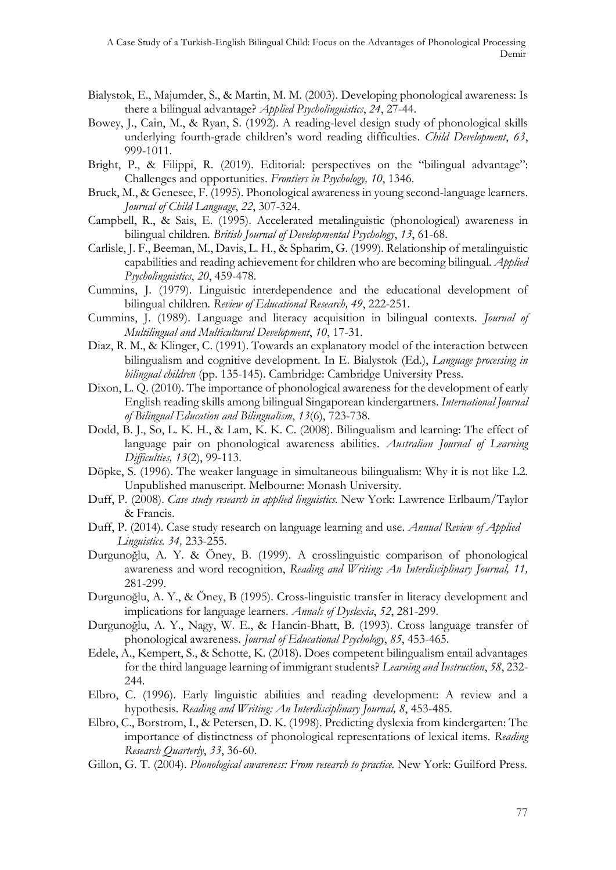- Bialystok, E., Majumder, S., & Martin, M. M. (2003). Developing phonological awareness: Is there a bilingual advantage? *Applied Psycholinguistics*, *24*, 27-44.
- Bowey, J., Cain, M., & Ryan, S. (1992). A reading-level design study of phonological skills underlying fourth-grade children's word reading difficulties. *Child Development*, *63*, 999-1011.
- Bright, P., & Filippi, R. (2019). Editorial: perspectives on the "bilingual advantage": Challenges and opportunities. *Frontiers in Psychology, 10*, 1346.
- Bruck, M., & Genesee, F. (1995). Phonological awareness in young second-language learners. *Journal of Child Language*, *22*, 307-324.
- Campbell, R., & Sais, E. (1995). Accelerated metalinguistic (phonological) awareness in bilingual children. *British Journal of Developmental Psychology*, *13*, 61-68.
- Carlisle, J. F., Beeman, M., Davis, L. H., & Spharim, G. (1999). Relationship of metalinguistic capabilities and reading achievement for children who are becoming bilingual. *Applied Psycholinguistics*, *20*, 459-478.
- Cummins, J. (1979). Linguistic interdependence and the educational development of bilingual children. *Review of Educational Research, 49*, 222-251.
- Cummins, J. (1989). Language and literacy acquisition in bilingual contexts. *Journal of Multilingual and Multicultural Development*, *10*, 17-31.
- Diaz, R. M., & Klinger, C. (1991). Towards an explanatory model of the interaction between bilingualism and cognitive development. In E. Bialystok (Ed.), *Language processing in bilingual children* (pp. 135-145). Cambridge: Cambridge University Press.
- Dixon, L. Q. (2010). The importance of phonological awareness for the development of early English reading skills among bilingual Singaporean kindergartners. *International Journal of Bilingual Education and Bilingualism*, *13*(6), 723-738.
- Dodd, B. J., So, L. K. H., & Lam, K. K. C. (2008). Bilingualism and learning: The effect of language pair on phonological awareness abilities. *Australian Journal of Learning Difficulties, 13*(2), 99-113.
- Döpke, S. (1996). The weaker language in simultaneous bilingualism: Why it is not like L2. Unpublished manuscript. Melbourne: Monash University.
- Duff, P. (2008). *Case study research in applied linguistics.* New York: Lawrence Erlbaum/Taylor & Francis.
- Duff, P. (2014). Case study research on language learning and use. *Annual Review of Applied Linguistics. 34,* 233-255.
- Durgunoğlu, A. Y. & Öney, B. (1999). A crosslinguistic comparison of phonological awareness and word recognition, *Reading and Writing: An Interdisciplinary Journal, 11,*  281-299.
- Durgunoğlu, A. Y., & Öney, B (1995). Cross-linguistic transfer in literacy development and implications for language learners. *Annals of Dyslexia*, *52*, 281-299.
- Durgunoğlu, A. Y., Nagy, W. E., & Hancin-Bhatt, B. (1993). Cross language transfer of phonological awareness. *Journal of Educational Psychology*, *85*, 453-465.
- Edele, A., Kempert, S., & Schotte, K. (2018). Does competent bilingualism entail advantages for the third language learning of immigrant students? *Learning and Instruction*, *58*, 232- 244.
- Elbro, C. (1996). Early linguistic abilities and reading development: A review and a hypothesis. *Reading and Writing: An Interdisciplinary Journal, 8*, 453-485.
- Elbro, C., Borstrom, I., & Petersen, D. K. (1998). Predicting dyslexia from kindergarten: The importance of distinctness of phonological representations of lexical items. *Reading Research Quarterly*, *33*, 36-60.
- Gillon, G. T. (2004). *Phonological awareness: From research to practice.* New York: Guilford Press.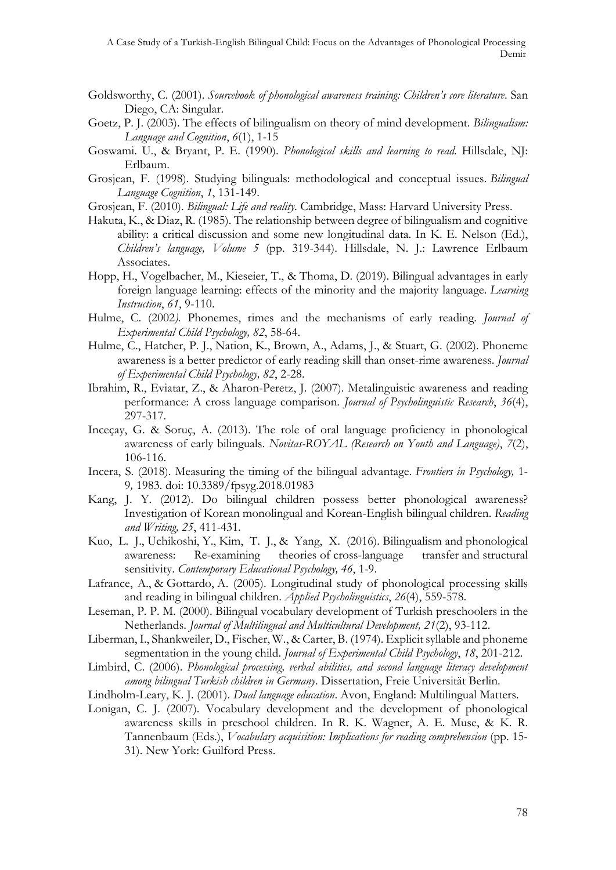- Goldsworthy, C. (2001). *Sourcebook of phonological awareness training: Children's core literature*. San Diego, CA: Singular.
- Goetz, P. J. (2003). The effects of bilingualism on theory of mind development. *Bilingualism: Language and Cognition*, *6*(1), 1-15
- Goswami. U., & Bryant, P. E. (1990). *Phonological skills and learning to read.* Hillsdale, NJ: Erlbaum.
- Grosjean, F. (1998). Studying bilinguals: methodological and conceptual issues. *Bilingual Language Cognition*, *1*, 131-149.
- Grosjean, F. (2010). *Bilingual: Life and reality*. Cambridge, Mass: Harvard University Press.
- Hakuta, K., & Diaz, R. (1985). The relationship between degree of bilingualism and cognitive ability: a critical discussion and some new longitudinal data. In K. E. Nelson (Ed.), *Children's language, Volume 5* (pp. 319-344). Hillsdale, N. J.: Lawrence Erlbaum Associates.
- Hopp, H., Vogelbacher, M., Kieseier, T., & Thoma, D. (2019). Bilingual advantages in early foreign language learning: effects of the minority and the majority language. *Learning Instruction*, *61*, 9-110.
- Hulme, C. (2002*).* Phonemes, rimes and the mechanisms of early reading. *Journal of Experimental Child Psychology, 82*, 58-64.
- Hulme, C., Hatcher, P. J., Nation, K., Brown, A., Adams, J., & Stuart, G. (2002). Phoneme awareness is a better predictor of early reading skill than onset-rime awareness. *Journal of Experimental Child Psychology, 82*, 2-28.
- Ibrahim, R., Eviatar, Z., & Aharon-Peretz, J. (2007). Metalinguistic awareness and reading performance: A cross language comparison. *Journal of Psycholinguistic Research*, *36*(4), 297-317.
- Inceçay, G. & Soruç, A. (2013). The role of oral language proficiency in phonological awareness of early bilinguals. *Novitas-ROYAL (Research on Youth and Language)*, *7*(2), 106-116.
- Incera, S. (2018). Measuring the timing of the bilingual advantage. *Frontiers in Psychology,* 1- 9*,* 1983. doi: 10.3389/fpsyg.2018.01983
- Kang, J. Y. (2012). Do bilingual children possess better phonological awareness? Investigation of Korean monolingual and Korean-English bilingual children. *Reading and Writing, 25*, 411-431.
- Kuo, L. J., Uchikoshi, Y., Kim, T. J., & Yang, X. (2016). Bilingualism and phonological awareness: Re-examining theories of cross-language transfer and structural sensitivity. *Contemporary Educational Psychology, 46*, 1-9.
- Lafrance, A., & Gottardo, A. (2005). Longitudinal study of phonological processing skills and reading in bilingual children. *Applied Psycholinguistics*, *26*(4), 559-578.
- Leseman, P. P. M. (2000). Bilingual vocabulary development of Turkish preschoolers in the Netherlands. *Journal of Multilingual and Multicultural Development, 21*(2), 93-112.
- Liberman, I., Shankweiler, D., Fischer, W., & Carter, B. (1974). Explicit syllable and phoneme segmentation in the young child. *Journal of Experimental Child Psychology*, *18*, 201-212.
- Limbird, C. (2006). *Phonological processing, verbal abilities, and second language literacy development among bilingual Turkish children in Germany*. Dissertation, Freie Universität Berlin.
- Lindholm-Leary, K. J. (2001). *Dual language education*. Avon, England: Multilingual Matters.
- Lonigan, C. J. (2007). Vocabulary development and the development of phonological awareness skills in preschool children. In R. K. Wagner, A. E. Muse, & K. R. Tannenbaum (Eds.), *Vocabulary acquisition: Implications for reading comprehension* (pp. 15- 31). New York: Guilford Press.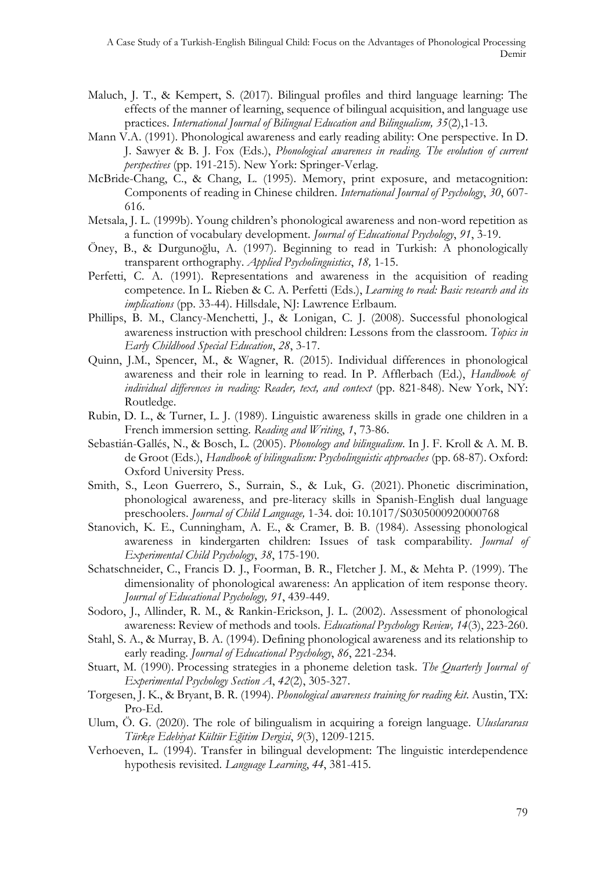- Maluch, J. T., & Kempert, S. (2017). Bilingual profiles and third language learning: The effects of the manner of learning, sequence of bilingual acquisition, and language use practices. *International Journal of Bilingual Education and Bilingualism, 35*(2),1-13.
- Mann V.A. (1991). Phonological awareness and early reading ability: One perspective. In D. J. Sawyer & B. J. Fox (Eds.), *Phonological awareness in reading. The evolution of current perspectives* (pp. 191-215). New York: Springer-Verlag.
- McBride-Chang, C., & Chang, L. (1995). Memory, print exposure, and metacognition: Components of reading in Chinese children. *International Journal of Psychology*, *30*, 607- 616.
- Metsala, J. L. (1999b). Young children's phonological awareness and non-word repetition as a function of vocabulary development. *Journal of Educational Psychology*, *91*, 3-19.
- Öney, B., & Durgunoğlu, A. (1997). Beginning to read in Turkish: A phonologically transparent orthography. *Applied Psycholinguistics*, *18,* 1-15.
- Perfetti, C. A. (1991). Representations and awareness in the acquisition of reading competence. In L. Rieben & C. A. Perfetti (Eds.), *Learning to read: Basic research and its implications* (pp. 33-44). Hillsdale, NJ: Lawrence Erlbaum.
- Phillips, B. M., Clancy-Menchetti, J., & Lonigan, C. J. (2008). Successful phonological awareness instruction with preschool children: Lessons from the classroom. *Topics in Early Childhood Special Education*, *28*, 3-17.
- Quinn, J.M., Spencer, M., & Wagner, R. (2015). Individual differences in phonological awareness and their role in learning to read. In P. Afflerbach (Ed.), *Handbook of individual differences in reading: Reader, text, and context* (pp. 821-848). New York, NY: Routledge.
- Rubin, D. L., & Turner, L. J. (1989). Linguistic awareness skills in grade one children in a French immersion setting. *Reading and Writing*, *1*, 73-86.
- Sebastián-Gallés, N., & Bosch, L. (2005). *Phonology and bilingualism.* In J. F. Kroll & A. M. B. de Groot (Eds.), *Handbook of bilingualism: Psycholinguistic approaches* (pp. 68-87). Oxford: Oxford University Press.
- Smith, S., Leon Guerrero, S., Surrain, S., & Luk, G. (2021). Phonetic discrimination, phonological awareness, and pre-literacy skills in Spanish-English dual language preschoolers. *Journal of Child Language,* 1-34. [doi: 10.1017/S0305000920000768](http://doi.org/10.1017/S0305000920000768)
- Stanovich, K. E., Cunningham, A. E., & Cramer, B. B. (1984). Assessing phonological awareness in kindergarten children: Issues of task comparability. *Journal of Experimental Child Psychology*, *38*, 175-190.
- Schatschneider, C., Francis D. J., Foorman, B. R., Fletcher J. M., & Mehta P. (1999). The dimensionality of phonological awareness: An application of item response theory. *Journal of Educational Psychology, 91*, 439-449.
- Sodoro, J., Allinder, R. M., & Rankin-Erickson, J. L. (2002). Assessment of phonological awareness: Review of methods and tools. *Educational Psychology Review, 14*(3), 223-260.
- Stahl, S. A., & Murray, B. A. (1994). Defining phonological awareness and its relationship to early reading. *Journal of Educational Psychology*, *86*, 221-234.
- Stuart, M. (1990). Processing strategies in a phoneme deletion task. *The Quarterly Journal of Experimental Psychology Section A*, *42*(2), 305-327.
- Torgesen, J. K., & Bryant, B. R. (1994). *Phonological awareness training for reading kit*. Austin, TX: Pro-Ed.
- Ulum, Ö. G. (2020). The role of bilingualism in acquiring a foreign language. *Uluslararası Türkçe Edebiyat Kültür Eğitim Dergisi*, *9*(3), 1209-1215.
- Verhoeven, L. (1994). Transfer in bilingual development: The linguistic interdependence hypothesis revisited. *Language Learning*, *44*, 381-415.